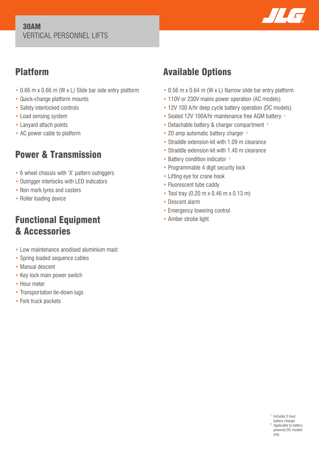#### 30AM VERTICAL PERSONNEL LIFTS



## Platform

- 0.66 m x 0.66 m (W x L) Slide bar side entry platform
- Quick-change platform mounts
- Safety interlocked controls
- Load sensing system
- Lanyard attach points
- AC power cable to platform

# Power & Transmission

- 6 wheel chassis with 'X' pattern outriggers
- Outrigger interlocks with LED indicators
- Non mark tyres and casters
- Roller loading device

## Functional Equipment & Accessories

- Low maintenance anodised aluminium mast
- Spring loaded sequence cables
- Manual descent
- Key lock main power switch
- Hour meter
- Transportation tie-down lugs
- Fork truck pockets

# Available Options

- 0.56 m x 0.64 m (W x L) Narrow slide bar entry platform
- 110V or 230V mains power operation (AC models)
- 12V 100 A/hr deep cycle battery operation (DC models)
- Sealed 12V 100A/hr maintenance free AGM battery 1
- Detachable battery & charger compartment <sup>2</sup>
- 20 amp automatic battery charger <sup>2</sup>
- Straddle extension kit with 1.09 m clearance
- Straddle extension kit with 1.40 m clearance
- Battery condition indicator <sup>2</sup>
- Programmable 4 digit security lock
- Lifting eye for crane hook
- Fluorescent tube caddy
- Tool tray (0.20 m x 0.46 m x 0.13 m)
- Descent alarm
- Emergency lowering control
- Amber strobe light

<sup>1</sup> Includes 5 hour battery charger <sup>2</sup> Applicable to battery powered DC models only